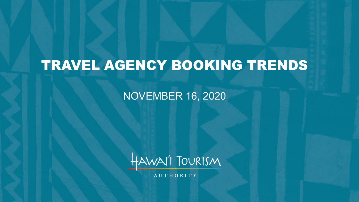# TRAVEL AGENCY BOOKING TRENDS

#### NOVEMBER 16, 2020



AUTHORITY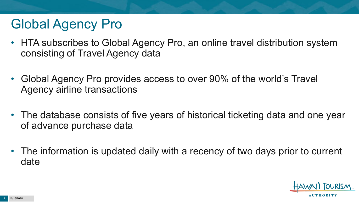# Global Agency Pro

- HTA subscribes to Global Agency Pro, an online travel distribution system consisting of Travel Agency data
- Global Agency Pro provides access to over 90% of the world's Travel Agency airline transactions
- The database consists of five years of historical ticketing data and one year of advance purchase data
- The information is updated daily with a recency of two days prior to current date

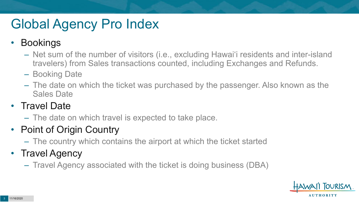# Global Agency Pro Index

#### • Bookings

- Net sum of the number of visitors (i.e., excluding Hawai'i residents and inter-island travelers) from Sales transactions counted, including Exchanges and Refunds.
- Booking Date
- The date on which the ticket was purchased by the passenger. Also known as the Sales Date

#### • Travel Date

– The date on which travel is expected to take place.

#### • Point of Origin Country

– The country which contains the airport at which the ticket started

#### • Travel Agency

– Travel Agency associated with the ticket is doing business (DBA)

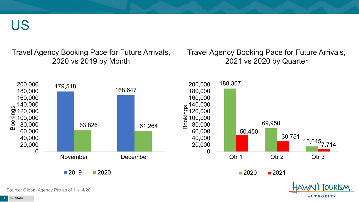US

Travel Agency Booking Pace for Future Arrivals, 2020 vs 2019 by Month

Travel Agency Booking Pace for Future Arrivals, 2021 vs 2020 by Quarter

**AUTHORITY** 



Source: Global Agency Pro as of 11/14/20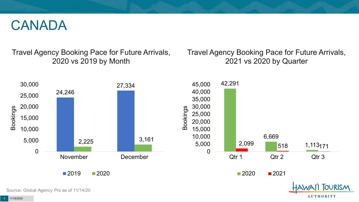#### CANADA

Travel Agency Booking Pace for Future Arrivals, 2020 vs 2019 by Month

Travel Agency Booking Pace for Future Arrivals, 2021 vs 2020 by Quarter



Source: Global Agency Pro as of 11/14/20

**AUTHORITY**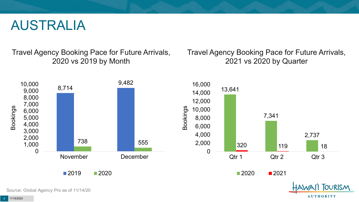#### AUSTRALIA

Travel Agency Booking Pace for Future Arrivals, 2020 vs 2019 by Month

Travel Agency Booking Pace for Future Arrivals, 2021 vs 2020 by Quarter

**AUTHORITY** 



Source: Global Agency Pro as of 11/14/20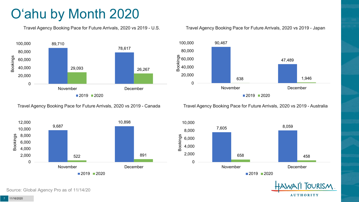# O'ahu by Month 2020

Travel Agency Booking Pace for Future Arrivals, 2020 vs 2019 - U.S.



Travel Agency Booking Pace for Future Arrivals, 2020 vs 2019 - Canada



Source: Global Agency Pro as of 11/14/20

#### Travel Agency Booking Pace for Future Arrivals, 2020 vs 2019 - Japan



Travel Agency Booking Pace for Future Arrivals, 2020 vs 2019 - Australia



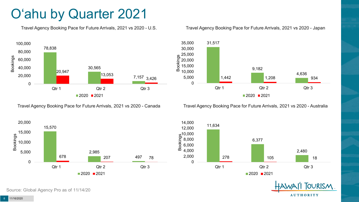### O'ahu by Quarter 2021

Travel Agency Booking Pace for Future Arrivals, 2021 vs 2020 - U.S.



Travel Agency Booking Pace for Future Arrivals, 2021 vs 2020 - Canada





Travel Agency Booking Pace for Future Arrivals, 2021 vs 2020 - Australia





**TOURISM AUTHORITY** 

Source: Global Agency Pro as of 11/14/20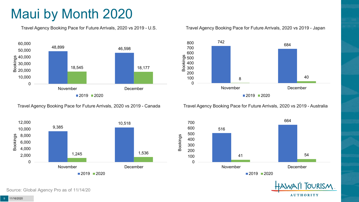## Maui by Month 2020

Travel Agency Booking Pace for Future Arrivals, 2020 vs 2019 - U.S.



Travel Agency Booking Pace for Future Arrivals, 2020 vs 2019 - Canada



Travel Agency Booking Pace for Future Arrivals, 2020 vs 2019 - Japan



Travel Agency Booking Pace for Future Arrivals, 2020 vs 2019 - Australia



**TOURISM AUTHORITY** 

Source: Global Agency Pro as of 11/14/20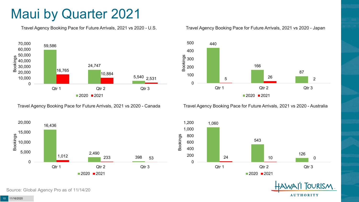### Maui by Quarter 2021

Travel Agency Booking Pace for Future Arrivals, 2021 vs 2020 - U.S.



Travel Agency Booking Pace for Future Arrivals, 2021 vs 2020 - Canada





Travel Agency Booking Pace for Future Arrivals, 2021 vs 2020 - Australia



1,060 543 126 24 10 0 0 200 400 600 800 1,000 1,200 Qtr 1 Qtr 2 Qtr 3  $2020$  2021



Source: Global Agency Pro as of 11/14/20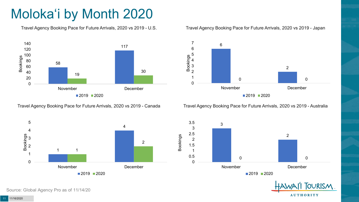# Moloka'i by Month 2020

Travel Agency Booking Pace for Future Arrivals, 2020 vs 2019 - U.S.



Travel Agency Booking Pace for Future Arrivals, 2020 vs 2019 - Canada

 November **December** ■2019 ■2020

Travel Agency Booking Pace for Future Arrivals, 2020 vs 2019 - Australia

0



 

> **TOURISM AUTHORITY**

Source: Global Agency Pro as of 11/14/20

11/16/2020

 

 3 Bookings

#### Travel Agency Booking Pace for Future Arrivals, 2020 vs 2019 - Japan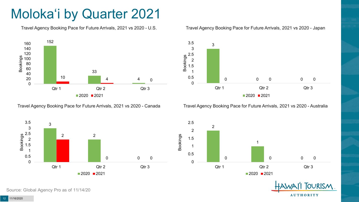## Moloka'i by Quarter 2021

Travel Agency Booking Pace for Future Arrivals, 2021 vs 2020 - U.S.



Travel Agency Booking Pace for Future Arrivals, 2021 vs 2020 - Canada



3.5

#### Travel Agency Booking Pace for Future Arrivals, 2021 vs 2020 - Japan

Travel Agency Booking Pace for Future Arrivals, 2021 vs 2020 - Australia

2021







Source: Global Agency Pro as of 11/14/20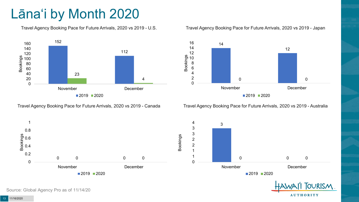# Lāna'i by Month 2020

Travel Agency Booking Pace for Future Arrivals, 2020 vs 2019 - U.S.



Travel Agency Booking Pace for Future Arrivals, 2020 vs 2019 - Canada

Travel Agency Booking Pace for Future Arrivals, 2020 vs 2019 - Japan



Travel Agency Booking Pace for Future Arrivals, 2020 vs 2019 - Australia

**AUTHORITY** 



Source: Global Agency Pro as of 11/14/20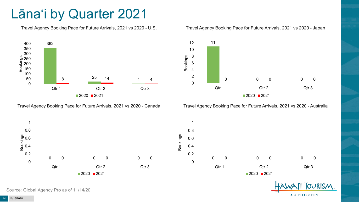### Lāna'i by Quarter 2021

Travel Agency Booking Pace for Future Arrivals, 2021 vs 2020 - U.S.



Travel Agency Booking Pace for Future Arrivals, 2021 vs 2020 - Canada





Travel Agency Booking Pace for Future Arrivals, 2021 vs 2020 - Australia

**AUTHORITY** 



Source: Global Agency Pro as of 11/14/20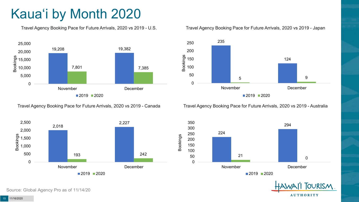# Kaua'i by Month 2020

Travel Agency Booking Pace for Future Arrivals, 2020 vs 2019 - U.S.



Travel Agency Booking Pace for Future Arrivals, 2020 vs 2019 - Canada



Travel Agency Booking Pace for Future Arrivals, 2020 vs 2019 - Japan



Travel Agency Booking Pace for Future Arrivals, 2020 vs 2019 - Australia





Source: Global Agency Pro as of 11/14/20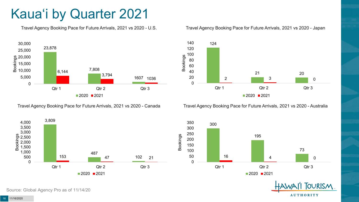## Kaua'i by Quarter 2021

Travel Agency Booking Pace for Future Arrivals, 2021 vs 2020 - U.S.



Travel Agency Booking Pace for Future Arrivals, 2021 vs 2020 - Canada





Travel Agency Booking Pace for Future Arrivals, 2021 vs 2020 - Australia



300 195 73 16 4 0 0 50 100 150 200 250 300 Qtr 1 Qtr 2 Qtr 2 Qtr 3  $2020$  2021

> **TOURISM AUTHORITY**

Source: Global Agency Pro as of 11/14/20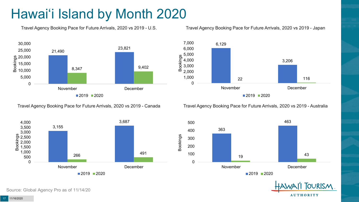## Hawai'i Island by Month 2020

Travel Agency Booking Pace for Future Arrivals, 2020 vs 2019 - U.S.



Travel Agency Booking Pace for Future Arrivals, 2020 vs 2019 - Japan



Travel Agency Booking Pace for Future Arrivals, 2020 vs 2019 - Canada



Travel Agency Booking Pace for Future Arrivals, 2020 vs 2019 - Australia





17 11/16/2020

Source: Global Agency Pro as of 11/14/20